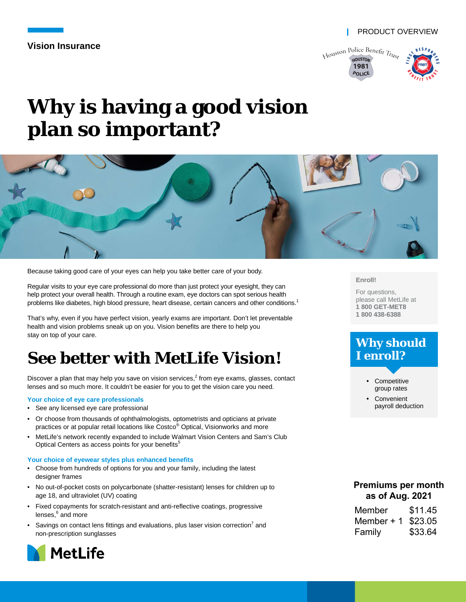**Vision Insurance**



# **Why is having a good vision plan so important?**



Because taking good care of your eyes can help you take better care of your body.

Regular visits to your eye care professional do more than just protect your eyesight, they can help protect your overall health. Through a routine exam, eye doctors can spot serious health problems like diabetes, high blood pressure, heart disease, certain cancers and other conditions.<sup>1</sup>

That's why, even if you have perfect vision, yearly exams are important. Don't let preventable health and vision problems sneak up on you. Vision benefits are there to help you stay on top of your care.

## **See better with MetLife Vision!**

Discover a plan that may help you save on vision services, $^2$  from eye exams, glasses, contact lenses and so much more. It couldn't be easier for you to get the vision care you need.

#### **Your choice of eye care professionals**

- See any licensed eye care professional
- Or choose from thousands of ophthalmologists, optometrists and opticians at private practices or at popular retail locations like Costco® Optical, Visionworks and more
- MetLife's network recently expanded to include Walmart Vision Centers and Sam's Club Optical Centers as access points for your benefits<sup>5</sup>

#### **Your choice of eyewear styles plus enhanced benefits**

- Choose from hundreds of options for you and your family, including the latest designer frames
- No out-of-pocket costs on polycarbonate (shatter-resistant) lenses for children up to age 18, and ultraviolet (UV) coating
- Fixed copayments for scratch-resistant and anti-reflective coatings, progressive lenses,<sup>6</sup> and more
- Savings on contact lens fittings and evaluations, plus laser vision correction<sup>7</sup> and non-prescription sunglasses



#### **Enroll!**

For questions, please call MetLife at **1 800 GET-MET8 1 800 438-6388**

### **Why should I enroll?**



**Convenient** payroll deduction

#### **Premiums per month as of Aug. 2021**

| Member     | \$11.45 |
|------------|---------|
| Member + 1 | \$23.05 |
| Family     | \$33.64 |